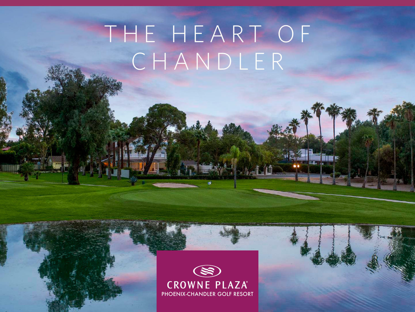# THE HEART OF CHANDLER

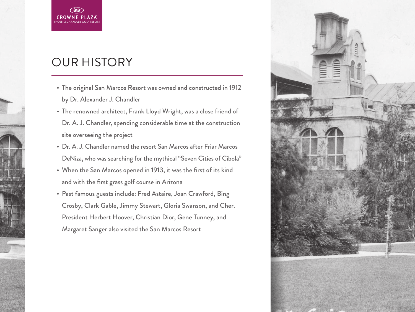## OUR HISTORY

PHOENIX-CHANDLER GOLF RESORT

(≋)

- The original San Marcos Resort was owned and constructed in 1912 by Dr. Alexander J. Chandler
- The renowned architect, Frank Lloyd Wright, was a close friend of Dr. A. J. Chandler, spending considerable time at the construction site overseeing the project
- Dr. A. J. Chandler named the resort San Marcos after Friar Marcos DeNiza, who was searching for the mythical "Seven Cities of Cibola"
- When the San Marcos opened in 1913, it was the first of its kind and with the first grass golf course in Arizona
- Past famous guests include: Fred Astaire, Joan Crawford, Bing Crosby, Clark Gable, Jimmy Stewart, Gloria Swanson, and Cher. President Herbert Hoover, Christian Dior, Gene Tunney, and Margaret Sanger also visited the San Marcos Resort

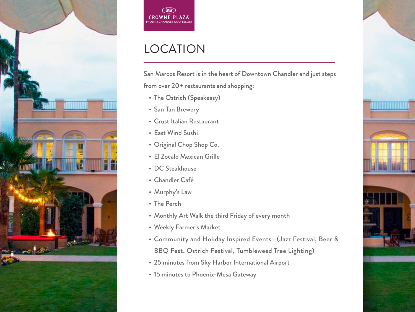



## LOCATION

San Marcos Resort is in the heart of Downtown Chandler and just steps from over 20+ restaurants and shopping:

<u>ATHENING IN THE T</u>

- The Ostrich (Speakeasy)
- San Tan Brewery
- Crust Italian Restaurant
- East Wind Sushi
- Original Chop Shop Co.
- El Zocalo Mexican Grille
- DC Steakhouse
- Chandler Café
- Murphy's Law
- The Perch
- Monthly Art Walk the third Friday of every month
- Weekly Farmer's Market
- Community and Holiday Inspired Events—(Jazz Festival, Beer & BBQ Fest, Ostrich Festival, Tumbleweed Tree Lighting)
- 25 minutes from Sky Harbor International Airport
- 15 minutes to Phoenix-Mesa Gateway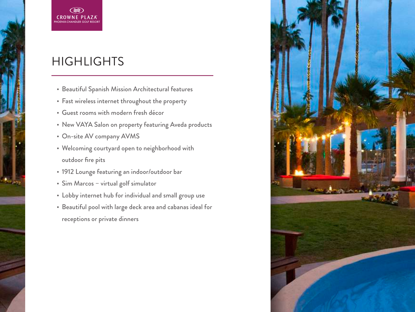#### **HIGHLIGHTS**

PHOENIX-CHANDLER GOLF RESORT

 $\Leftrightarrow$ **CROWNE PLAZA** 

- Beautiful Spanish Mission Architectural features
- Fast wireless internet throughout the property
- Guest rooms with modern fresh décor
- New VAYA Salon on property featuring Aveda products
- On-site AV company AVMS
- Welcoming courtyard open to neighborhood with outdoor fire pits
- 1912 Lounge featuring an indoor/outdoor bar
- Sim Marcos virtual golf simulator
- Lobby internet hub for individual and small group use
- Beautiful pool with large deck area and cabanas ideal for receptions or private dinners

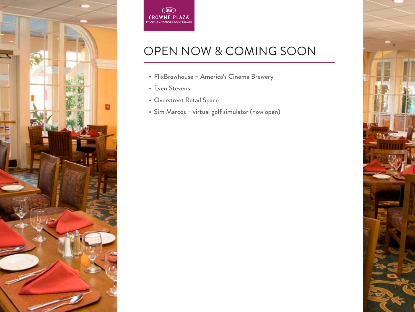



## OPEN NOW & COMING SOON

- FlixBrewhouse America's Cinema Brewery
- Even Stevens
- Overstreet Retail Space
- Sim Marcos virtual golf simulator (now open)

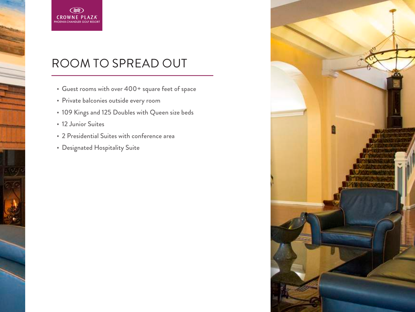

#### ROOM TO SPREAD OUT

- Guest rooms with over 400+ square feet of space
- Private balconies outside every room
- 109 Kings and 125 Doubles with Queen size beds
- 12 Junior Suites
- 2 Presidential Suites with conference area
- Designated Hospitality Suite

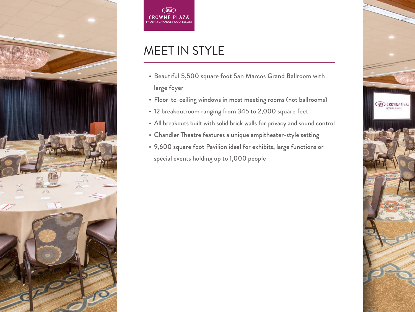



#### MEET IN STYLE

- Beautiful 5,500 square foot San Marcos Grand Ballroom with large foyer
- Floor-to-ceiling windows in most meeting rooms (not ballrooms)
- 12 breakoutroom ranging from 345 to 2,000 square feet
- All breakouts built with solid brick walls for privacy and sound control
- Chandler Theatre features a unique ampitheater-style setting
- 9,600 square foot Pavilion ideal for exhibits, large functions or special events holding up to 1,000 people

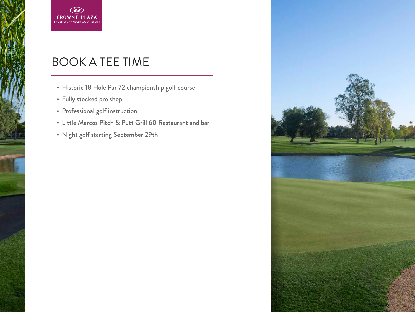

#### BOOK A TEE TIME

- Historic 18 Hole Par 72 championship golf course
- Fully stocked pro shop
- Professional golf instruction
- Little Marcos Pitch & Putt Grill 60 Restaurant and bar
- Night golf starting September 29th